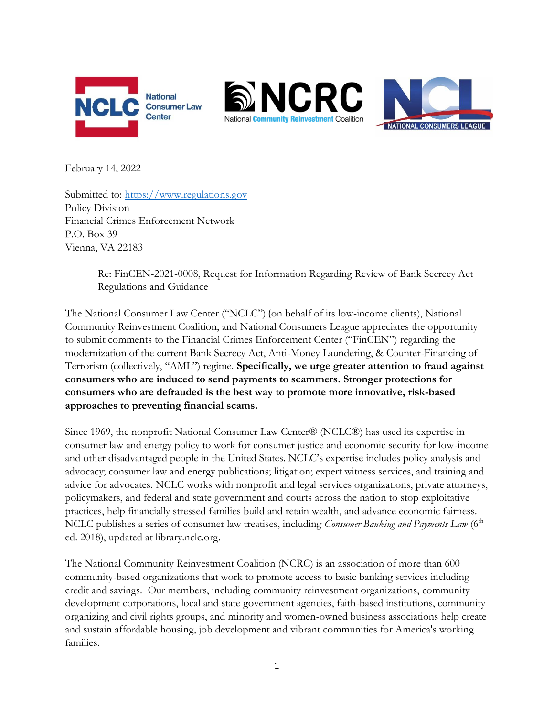





February 14, 2022

Submitted to: [https://www.regulations.gov](https://www.regulations.gov/) Policy Division Financial Crimes Enforcement Network P.O. Box 39 Vienna, VA 22183

> Re: FinCEN-2021-0008, Request for Information Regarding Review of Bank Secrecy Act Regulations and Guidance

The National Consumer Law Center ("NCLC") (on behalf of its low-income clients), National Community Reinvestment Coalition, and National Consumers League appreciates the opportunity to submit comments to the Financial Crimes Enforcement Center ("FinCEN") regarding the modernization of the current Bank Secrecy Act, Anti-Money Laundering, & Counter-Financing of Terrorism (collectively, "AML") regime. **Specifically, we urge greater attention to fraud against consumers who are induced to send payments to scammers. Stronger protections for consumers who are defrauded is the best way to promote more innovative, risk-based approaches to preventing financial scams.**

Since 1969, the nonprofit National Consumer Law Center® (NCLC®) has used its expertise in consumer law and energy policy to work for consumer justice and economic security for low-income and other disadvantaged people in the United States. NCLC's expertise includes policy analysis and advocacy; consumer law and energy publications; litigation; expert witness services, and training and advice for advocates. NCLC works with nonprofit and legal services organizations, private attorneys, policymakers, and federal and state government and courts across the nation to stop exploitative practices, help financially stressed families build and retain wealth, and advance economic fairness. NCLC publishes a series of consumer law treatises, including *Consumer Banking and Payments Law* (6<sup>th</sup>) ed. 2018), updated at library.nclc.org.

The National Community Reinvestment Coalition (NCRC) is an association of more than 600 community-based organizations that work to promote access to basic banking services including credit and savings. Our members, including community reinvestment organizations, community development corporations, local and state government agencies, faith-based institutions, community organizing and civil rights groups, and minority and women-owned business associations help create and sustain affordable housing, job development and vibrant communities for America's working families.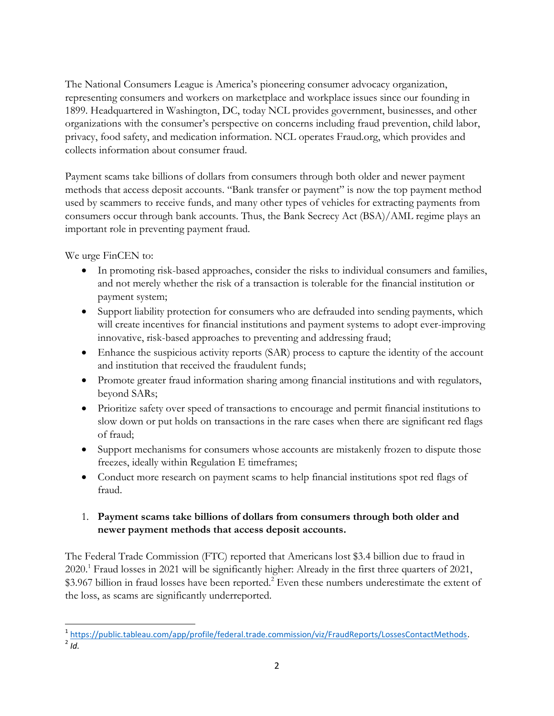The National Consumers League is America's pioneering consumer advocacy organization, representing consumers and workers on marketplace and workplace issues since our founding in 1899. Headquartered in Washington, DC, today NCL provides government, businesses, and other organizations with the consumer's perspective on concerns including fraud prevention, child labor, privacy, food safety, and medication information. NCL operates Fraud.org, which provides and collects information about consumer fraud.

Payment scams take billions of dollars from consumers through both older and newer payment methods that access deposit accounts. "Bank transfer or payment" is now the top payment method used by scammers to receive funds, and many other types of vehicles for extracting payments from consumers occur through bank accounts. Thus, the Bank Secrecy Act (BSA)/AML regime plays an important role in preventing payment fraud.

We urge FinCEN to:

- In promoting risk-based approaches, consider the risks to individual consumers and families, and not merely whether the risk of a transaction is tolerable for the financial institution or payment system;
- Support liability protection for consumers who are defrauded into sending payments, which will create incentives for financial institutions and payment systems to adopt ever-improving innovative, risk-based approaches to preventing and addressing fraud;
- Enhance the suspicious activity reports (SAR) process to capture the identity of the account and institution that received the fraudulent funds;
- Promote greater fraud information sharing among financial institutions and with regulators, beyond SARs;
- Prioritize safety over speed of transactions to encourage and permit financial institutions to slow down or put holds on transactions in the rare cases when there are significant red flags of fraud;
- Support mechanisms for consumers whose accounts are mistakenly frozen to dispute those freezes, ideally within Regulation E timeframes;
- Conduct more research on payment scams to help financial institutions spot red flags of fraud.

## 1. **Payment scams take billions of dollars from consumers through both older and newer payment methods that access deposit accounts.**

The Federal Trade Commission (FTC) reported that Americans lost \$3.4 billion due to fraud in 2020.<sup>1</sup> Fraud losses in 2021 will be significantly higher: Already in the first three quarters of 2021, \$3.967 billion in fraud losses have been reported.<sup>2</sup> Even these numbers underestimate the extent of the loss, as scams are significantly underreported.

 1 [https://public.tableau.com/app/profile/federal.trade.commission/viz/FraudReports/LossesContactMethods.](https://public.tableau.com/app/profile/federal.trade.commission/viz/FraudReports/LossesContactMethods) 2 *Id.*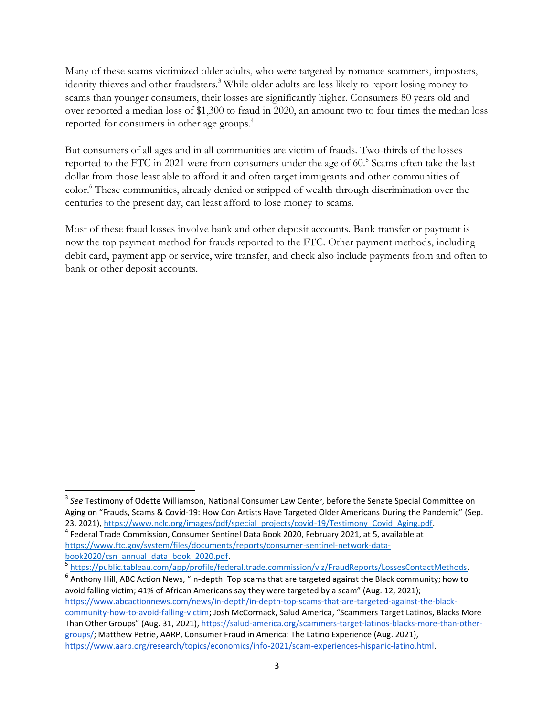Many of these scams victimized older adults, who were targeted by romance scammers, imposters, identity thieves and other fraudsters.<sup>3</sup> While older adults are less likely to report losing money to scams than younger consumers, their losses are significantly higher. Consumers 80 years old and over reported a median loss of \$1,300 to fraud in 2020, an amount two to four times the median loss reported for consumers in other age groups.<sup>4</sup>

But consumers of all ages and in all communities are victim of frauds. Two-thirds of the losses reported to the FTC in 2021 were from consumers under the age of 60.<sup>5</sup> Scams often take the last dollar from those least able to afford it and often target immigrants and other communities of color.<sup>6</sup> These communities, already denied or stripped of wealth through discrimination over the centuries to the present day, can least afford to lose money to scams.

Most of these fraud losses involve bank and other deposit accounts. Bank transfer or payment is now the top payment method for frauds reported to the FTC. Other payment methods, including debit card, payment app or service, wire transfer, and check also include payments from and often to bank or other deposit accounts.

<sup>3</sup> *See* Testimony of Odette Williamson, National Consumer Law Center, before the Senate Special Committee on Aging on "Frauds, Scams & Covid-19: How Con Artists Have Targeted Older Americans During the Pandemic" (Sep. 23, 2021), [https://www.nclc.org/images/pdf/special\\_projects/covid-19/Testimony\\_Covid\\_Aging.pdf.](https://www.nclc.org/images/pdf/special_projects/covid-19/Testimony_Covid_Aging.pdf)

<sup>4</sup> Federal Trade Commission, Consumer Sentinel Data Book 2020, February 2021, at 5, available at [https://www.ftc.gov/system/files/documents/reports/consumer-sentinel-network-data](https://www.ftc.gov/system/files/documents/reports/consumer-sentinel-network-data-book2020/csn_annual_data_book_2020.pdf)[book2020/csn\\_annual\\_data\\_book\\_2020.pdf.](https://www.ftc.gov/system/files/documents/reports/consumer-sentinel-network-data-book2020/csn_annual_data_book_2020.pdf)

<sup>5</sup> [https://public.tableau.com/app/profile/federal.trade.commission/viz/FraudReports/LossesContactMethods.](https://public.tableau.com/app/profile/federal.trade.commission/viz/FraudReports/LossesContactMethods)

 $^6$  Anthony Hill, ABC Action News, "In-depth: Top scams that are targeted against the Black community; how to avoid falling victim; 41% of African Americans say they were targeted by a scam" (Aug. 12, 2021); [https://www.abcactionnews.com/news/in-depth/in-depth-top-scams-that-are-targeted-against-the-black](https://www.abcactionnews.com/news/in-depth/in-depth-top-scams-that-are-targeted-against-the-black-community-how-to-avoid-falling-victim)[community-how-to-avoid-falling-victim;](https://www.abcactionnews.com/news/in-depth/in-depth-top-scams-that-are-targeted-against-the-black-community-how-to-avoid-falling-victim) Josh McCormack, Salud America, "Scammers Target Latinos, Blacks More Than Other Groups" (Aug. 31, 2021), [https://salud-america.org/scammers-target-latinos-blacks-more-than-other](https://salud-america.org/scammers-target-latinos-blacks-more-than-other-groups/)[groups/;](https://salud-america.org/scammers-target-latinos-blacks-more-than-other-groups/) Matthew Petrie, AARP, Consumer Fraud in America: The Latino Experience (Aug. 2021), [https://www.aarp.org/research/topics/economics/info-2021/scam-experiences-hispanic-latino.html.](https://www.aarp.org/research/topics/economics/info-2021/scam-experiences-hispanic-latino.html)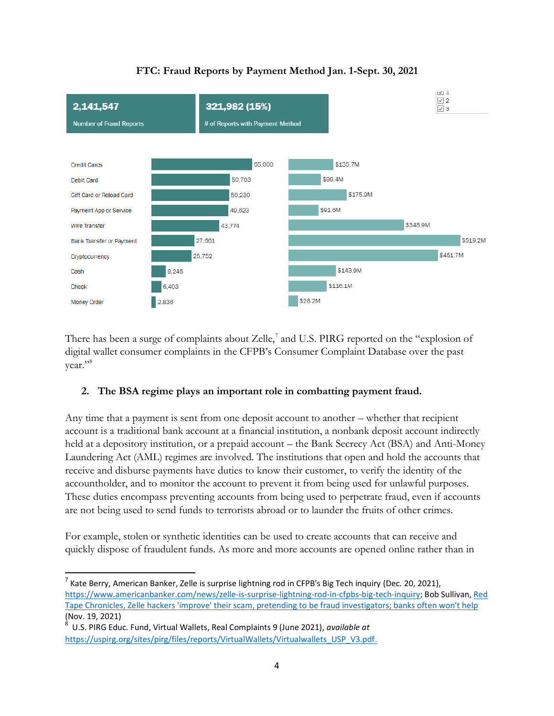

# **FTC: Fraud Reports by Payment Method Jan. 1-Sept. 30, 2021**

There has been a surge of complaints about Zelle, $^7$  and U.S. PIRG reported on the "explosion of digital wallet consumer complaints in the CFPB's Consumer Complaint Database over the past year."<sup>8</sup>

#### **2. The BSA regime plays an important role in combatting payment fraud.**

Any time that a payment is sent from one deposit account to another – whether that recipient account is a traditional bank account at a financial institution, a nonbank deposit account indirectly held at a depository institution, or a prepaid account – the Bank Secrecy Act (BSA) and Anti-Money Laundering Act (AML) regimes are involved. The institutions that open and hold the accounts that receive and disburse payments have duties to know their customer, to verify the identity of the accountholder, and to monitor the account to prevent it from being used for unlawful purposes. These duties encompass preventing accounts from being used to perpetrate fraud, even if accounts are not being used to send funds to terrorists abroad or to launder the fruits of other crimes.

For example, stolen or synthetic identities can be used to create accounts that can receive and quickly dispose of fraudulent funds. As more and more accounts are opened online rather than in

l

<sup>&</sup>lt;sup>7</sup> Kate Berry, American Banker, Zelle is surprise lightning rod in CFPB's Big Tech inquiry (Dec. 20, 2021), [https://www.americanbanker.com/news/zelle-is-surprise-lightning-rod-in-cfpbs-big-tech-inquiry;](https://www.americanbanker.com/news/zelle-is-surprise-lightning-rod-in-cfpbs-big-tech-inquiry) Bob Sullivan, [Red](https://redtape.substack.com/p/zelle-hackers-improve-their-scam)  [Tape Chronicles, Zelle hackers 'improve' their scam, pretending to be fraud investigators; banks often won't help](https://redtape.substack.com/p/zelle-hackers-improve-their-scam) (Nov. 19, 2021)<br><sup>8</sup> U.S. NRC Edu

U.S. PIRG Educ. Fund, Virtual Wallets, Real Complaints 9 (June 2021), *available at* [https://uspirg.org/sites/pirg/files/reports/VirtualWallets/Virtualwallets\\_USP\\_V3.pdf.](https://uspirg.org/sites/pirg/files/reports/VirtualWallets/Virtualwallets_USP_V3.pdf)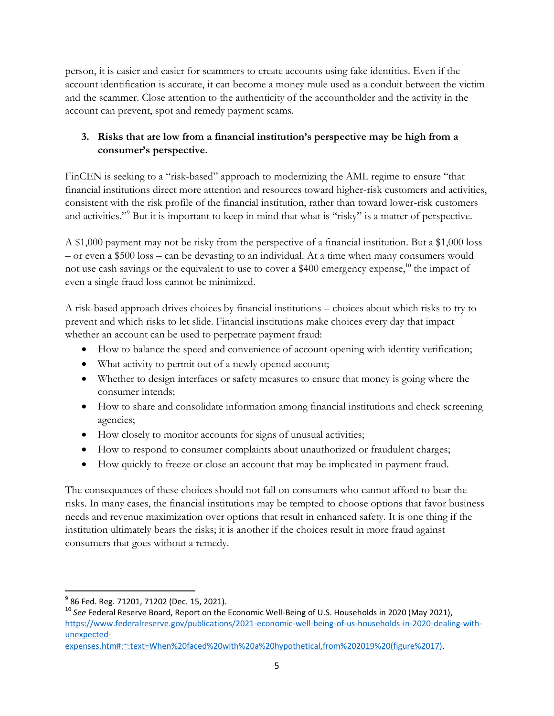person, it is easier and easier for scammers to create accounts using fake identities. Even if the account identification is accurate, it can become a money mule used as a conduit between the victim and the scammer. Close attention to the authenticity of the accountholder and the activity in the account can prevent, spot and remedy payment scams.

# **3. Risks that are low from a financial institution's perspective may be high from a consumer's perspective.**

FinCEN is seeking to a "risk-based" approach to modernizing the AML regime to ensure "that financial institutions direct more attention and resources toward higher-risk customers and activities, consistent with the risk profile of the financial institution, rather than toward lower-risk customers and activities."<sup>9</sup> But it is important to keep in mind that what is "risky" is a matter of perspective.

A \$1,000 payment may not be risky from the perspective of a financial institution. But a \$1,000 loss – or even a \$500 loss – can be devasting to an individual. At a time when many consumers would not use cash savings or the equivalent to use to cover a \$400 emergency expense,<sup>10</sup> the impact of even a single fraud loss cannot be minimized.

A risk-based approach drives choices by financial institutions – choices about which risks to try to prevent and which risks to let slide. Financial institutions make choices every day that impact whether an account can be used to perpetrate payment fraud:

- How to balance the speed and convenience of account opening with identity verification;
- What activity to permit out of a newly opened account;
- Whether to design interfaces or safety measures to ensure that money is going where the consumer intends;
- How to share and consolidate information among financial institutions and check screening agencies;
- How closely to monitor accounts for signs of unusual activities;
- How to respond to consumer complaints about unauthorized or fraudulent charges;
- How quickly to freeze or close an account that may be implicated in payment fraud.

The consequences of these choices should not fall on consumers who cannot afford to bear the risks. In many cases, the financial institutions may be tempted to choose options that favor business needs and revenue maximization over options that result in enhanced safety. It is one thing if the institution ultimately bears the risks; it is another if the choices result in more fraud against consumers that goes without a remedy.

l

<sup>&</sup>lt;sup>9</sup> 86 Fed. Reg. 71201, 71202 (Dec. 15, 2021).

<sup>10</sup> *See* Federal Reserve Board, Report on the Economic Well-Being of U.S. Households in 2020 (May 2021), [https://www.federalreserve.gov/publications/2021-economic-well-being-of-us-households-in-2020-dealing-with](https://www.federalreserve.gov/publications/2021-economic-well-being-of-us-households-in-2020-dealing-with-unexpected-expenses.htm#:~:text=When%20faced%20with%20a%20hypothetical,from%202019%20(figure%2017))[unexpected-](https://www.federalreserve.gov/publications/2021-economic-well-being-of-us-households-in-2020-dealing-with-unexpected-expenses.htm#:~:text=When%20faced%20with%20a%20hypothetical,from%202019%20(figure%2017))

[expenses.htm#:~:text=When%20faced%20with%20a%20hypothetical,from%202019%20\(figure%2017\).](https://www.federalreserve.gov/publications/2021-economic-well-being-of-us-households-in-2020-dealing-with-unexpected-expenses.htm#:~:text=When%20faced%20with%20a%20hypothetical,from%202019%20(figure%2017))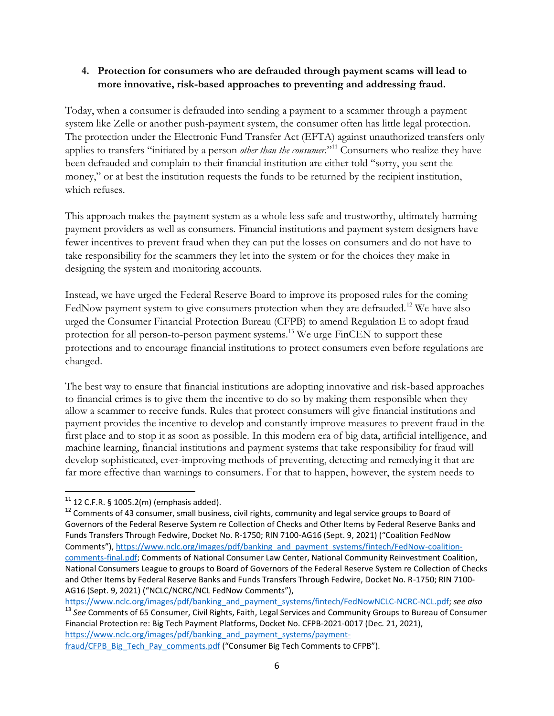#### **4. Protection for consumers who are defrauded through payment scams will lead to more innovative, risk-based approaches to preventing and addressing fraud.**

Today, when a consumer is defrauded into sending a payment to a scammer through a payment system like Zelle or another push-payment system, the consumer often has little legal protection. The protection under the Electronic Fund Transfer Act (EFTA) against unauthorized transfers only applies to transfers "initiated by a person *other than the consumer*."<sup>11</sup> Consumers who realize they have been defrauded and complain to their financial institution are either told "sorry, you sent the money," or at best the institution requests the funds to be returned by the recipient institution, which refuses.

This approach makes the payment system as a whole less safe and trustworthy, ultimately harming payment providers as well as consumers. Financial institutions and payment system designers have fewer incentives to prevent fraud when they can put the losses on consumers and do not have to take responsibility for the scammers they let into the system or for the choices they make in designing the system and monitoring accounts.

Instead, we have urged the Federal Reserve Board to improve its proposed rules for the coming FedNow payment system to give consumers protection when they are defrauded.<sup>12</sup> We have also urged the Consumer Financial Protection Bureau (CFPB) to amend Regulation E to adopt fraud protection for all person-to-person payment systems.<sup>13</sup> We urge FinCEN to support these protections and to encourage financial institutions to protect consumers even before regulations are changed.

The best way to ensure that financial institutions are adopting innovative and risk-based approaches to financial crimes is to give them the incentive to do so by making them responsible when they allow a scammer to receive funds. Rules that protect consumers will give financial institutions and payment provides the incentive to develop and constantly improve measures to prevent fraud in the first place and to stop it as soon as possible. In this modern era of big data, artificial intelligence, and machine learning, financial institutions and payment systems that take responsibility for fraud will develop sophisticated, ever-improving methods of preventing, detecting and remedying it that are far more effective than warnings to consumers. For that to happen, however, the system needs to

[https://www.nclc.org/images/pdf/banking\\_and\\_payment\\_systems/fintech/FedNowNCLC-NCRC-NCL.pdf;](https://www.nclc.org/images/pdf/banking_and_payment_systems/fintech/FedNowNCLC-NCRC-NCL.pdf) *see also* 

<sup>13</sup> *See* Comments of 65 Consumer, Civil Rights, Faith, Legal Services and Community Groups to Bureau of Consumer Financial Protection re: Big Tech Payment Platforms, Docket No. CFPB-2021-0017 (Dec. 21, 2021), [https://www.nclc.org/images/pdf/banking\\_and\\_payment\\_systems/payment-](https://www.nclc.org/images/pdf/banking_and_payment_systems/payment-fraud/CFPB_Big_Tech_Pay_comments.pdf)

 $\overline{a}$  $11$  12 C.F.R. § 1005.2(m) (emphasis added).

<sup>&</sup>lt;sup>12</sup> Comments of 43 consumer, small business, civil rights, community and legal service groups to Board of Governors of the Federal Reserve System re Collection of Checks and Other Items by Federal Reserve Banks and Funds Transfers Through Fedwire, Docket No. R-1750; RIN 7100-AG16 (Sept. 9, 2021) ("Coalition FedNow Comments"), [https://www.nclc.org/images/pdf/banking\\_and\\_payment\\_systems/fintech/FedNow-coalition](https://www.nclc.org/images/pdf/banking_and_payment_systems/fintech/FedNow-coalition-comments-final.pdf)[comments-final.pdf;](https://www.nclc.org/images/pdf/banking_and_payment_systems/fintech/FedNow-coalition-comments-final.pdf) Comments of National Consumer Law Center, National Community Reinvestment Coalition, National Consumers League to groups to Board of Governors of the Federal Reserve System re Collection of Checks and Other Items by Federal Reserve Banks and Funds Transfers Through Fedwire, Docket No. R-1750; RIN 7100- AG16 (Sept. 9, 2021) ("NCLC/NCRC/NCL FedNow Comments"),

[fraud/CFPB\\_Big\\_Tech\\_Pay\\_comments.pdf](https://www.nclc.org/images/pdf/banking_and_payment_systems/payment-fraud/CFPB_Big_Tech_Pay_comments.pdf) ("Consumer Big Tech Comments to CFPB").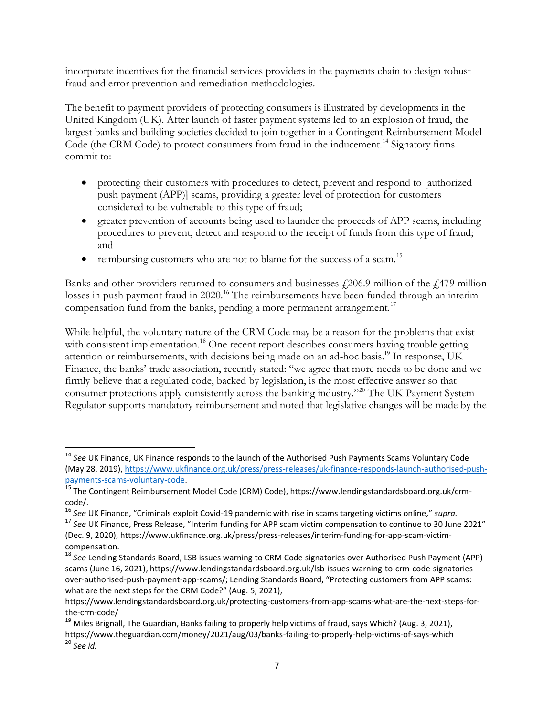incorporate incentives for the financial services providers in the payments chain to design robust fraud and error prevention and remediation methodologies.

The benefit to payment providers of protecting consumers is illustrated by developments in the United Kingdom (UK). After launch of faster payment systems led to an explosion of fraud, the largest banks and building societies decided to join together in a Contingent Reimbursement Model Code (the CRM Code) to protect consumers from fraud in the inducement.<sup>14</sup> Signatory firms commit to:

- protecting their customers with procedures to detect, prevent and respond to [authorized push payment (APP)] scams, providing a greater level of protection for customers considered to be vulnerable to this type of fraud;
- greater prevention of accounts being used to launder the proceeds of APP scams, including procedures to prevent, detect and respond to the receipt of funds from this type of fraud; and
- reimbursing customers who are not to blame for the success of a scam.<sup>15</sup>

Banks and other providers returned to consumers and businesses  $\ell$  206.9 million of the  $\ell$ 479 million losses in push payment fraud in 2020.<sup>16</sup> The reimbursements have been funded through an interim compensation fund from the banks, pending a more permanent arrangement.<sup>17</sup>

While helpful, the voluntary nature of the CRM Code may be a reason for the problems that exist with consistent implementation.<sup>18</sup> One recent report describes consumers having trouble getting attention or reimbursements, with decisions being made on an ad-hoc basis.<sup>19</sup> In response, UK Finance, the banks' trade association, recently stated: "we agree that more needs to be done and we firmly believe that a regulated code, backed by legislation, is the most effective answer so that consumer protections apply consistently across the banking industry."<sup>20</sup> The UK Payment System Regulator supports mandatory reimbursement and noted that legislative changes will be made by the

 $\overline{a}$ <sup>14</sup> *See* UK Finance, UK Finance responds to the launch of the Authorised Push Payments Scams Voluntary Code (May 28, 2019), [https://www.ukfinance.org.uk/press/press-releases/uk-finance-responds-launch-authorised-push](https://www.ukfinance.org.uk/press/press-releases/uk-finance-responds-launch-authorised-push-payments-scams-voluntary-code)[payments-scams-voluntary-code.](https://www.ukfinance.org.uk/press/press-releases/uk-finance-responds-launch-authorised-push-payments-scams-voluntary-code)

<sup>&</sup>lt;sup>15</sup> The Contingent Reimbursement Model Code (CRM) Code), https://www.lendingstandardsboard.org.uk/crmcode/.

<sup>16</sup> *See* UK Finance, "Criminals exploit Covid-19 pandemic with rise in scams targeting victims online*,*" *supra.*

<sup>17</sup> *See* UK Finance, Press Release, "Interim funding for APP scam victim compensation to continue to 30 June 2021" (Dec. 9, 2020), https://www.ukfinance.org.uk/press/press-releases/interim-funding-for-app-scam-victimcompensation.

<sup>18</sup> *See* Lending Standards Board, LSB issues warning to CRM Code signatories over Authorised Push Payment (APP) scams (June 16, 2021), https://www.lendingstandardsboard.org.uk/lsb-issues-warning-to-crm-code-signatoriesover-authorised-push-payment-app-scams/; Lending Standards Board, "Protecting customers from APP scams: what are the next steps for the CRM Code?" (Aug. 5, 2021),

https://www.lendingstandardsboard.org.uk/protecting-customers-from-app-scams-what-are-the-next-steps-forthe-crm-code/

<sup>&</sup>lt;sup>19</sup> Miles Brignall, The Guardian, Banks failing to properly help victims of fraud, says Which? (Aug. 3, 2021), https://www.theguardian.com/money/2021/aug/03/banks-failing-to-properly-help-victims-of-says-which <sup>20</sup> *See id.*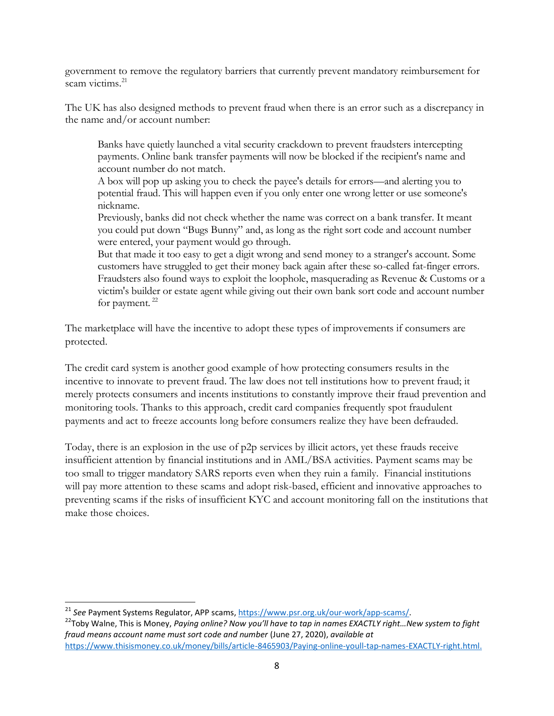government to remove the regulatory barriers that currently prevent mandatory reimbursement for scam victims. 21

The UK has also designed methods to prevent fraud when there is an error such as a discrepancy in the name and/or account number:

Banks have quietly launched a vital security crackdown to prevent fraudsters intercepting payments. Online bank transfer payments will now be blocked if the recipient's name and account number do not match.

A box will pop up asking you to check the payee's details for errors—and alerting you to potential fraud. This will happen even if you only enter one wrong letter or use someone's nickname.

Previously, banks did not check whether the name was correct on a bank transfer. It meant you could put down "Bugs Bunny" and, as long as the right sort code and account number were entered, your payment would go through.

But that made it too easy to get a digit wrong and send money to a stranger's account. Some customers have struggled to get their money back again after these so-called fat-finger errors. Fraudsters also found ways to exploit the loophole, masquerading as Revenue & Customs or a victim's builder or estate agent while giving out their own bank sort code and account number for payment.<sup>22</sup>

The marketplace will have the incentive to adopt these types of improvements if consumers are protected.

The credit card system is another good example of how protecting consumers results in the incentive to innovate to prevent fraud. The law does not tell institutions how to prevent fraud; it merely protects consumers and incents institutions to constantly improve their fraud prevention and monitoring tools. Thanks to this approach, credit card companies frequently spot fraudulent payments and act to freeze accounts long before consumers realize they have been defrauded.

Today, there is an explosion in the use of p2p services by illicit actors, yet these frauds receive insufficient attention by financial institutions and in AML/BSA activities. Payment scams may be too small to trigger mandatory SARS reports even when they ruin a family. Financial institutions will pay more attention to these scams and adopt risk-based, efficient and innovative approaches to preventing scams if the risks of insufficient KYC and account monitoring fall on the institutions that make those choices.

<sup>&</sup>lt;sup>21</sup> See Payment Systems Regulator, APP scams[, https://www.psr.org.uk/our-work/app-scams/.](https://www.psr.org.uk/our-work/app-scams/)

<sup>&</sup>lt;sup>22</sup>Toby Walne, This is Money, Paying online? Now you'll have to tap in names EXACTLY right...New system to fight *fraud means account name must sort code and number* (June 27, 2020), *available at* [https://www.thisismoney.co.uk/money/bills/article-8465903/Paying-online-youll-tap-names-EXACTLY-right.html.](https://www.thisismoney.co.uk/money/bills/article-8465903/Paying-online-youll-tap-names-EXACTLY-right.html)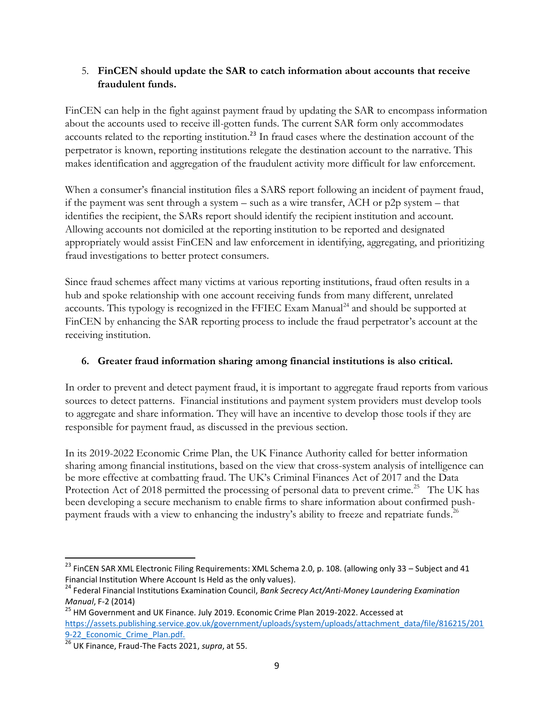#### 5. **FinCEN should update the SAR to catch information about accounts that receive fraudulent funds.**

FinCEN can help in the fight against payment fraud by updating the SAR to encompass information about the accounts used to receive ill-gotten funds. The current SAR form only accommodates accounts related to the reporting institution.<sup>23</sup> In fraud cases where the destination account of the perpetrator is known, reporting institutions relegate the destination account to the narrative. This makes identification and aggregation of the fraudulent activity more difficult for law enforcement.

When a consumer's financial institution files a SARS report following an incident of payment fraud, if the payment was sent through a system – such as a wire transfer, ACH or p2p system – that identifies the recipient, the SARs report should identify the recipient institution and account. Allowing accounts not domiciled at the reporting institution to be reported and designated appropriately would assist FinCEN and law enforcement in identifying, aggregating, and prioritizing fraud investigations to better protect consumers.

Since fraud schemes affect many victims at various reporting institutions, fraud often results in a hub and spoke relationship with one account receiving funds from many different, unrelated accounts. This typology is recognized in the FFIEC Exam Manual<sup>24</sup> and should be supported at FinCEN by enhancing the SAR reporting process to include the fraud perpetrator's account at the receiving institution.

#### **6. Greater fraud information sharing among financial institutions is also critical.**

In order to prevent and detect payment fraud, it is important to aggregate fraud reports from various sources to detect patterns. Financial institutions and payment system providers must develop tools to aggregate and share information. They will have an incentive to develop those tools if they are responsible for payment fraud, as discussed in the previous section.

In its 2019-2022 Economic Crime Plan, the UK Finance Authority called for better information sharing among financial institutions, based on the view that cross-system analysis of intelligence can be more effective at combatting fraud. The UK's Criminal Finances Act of 2017 and the Data Protection Act of 2018 permitted the processing of personal data to prevent crime.<sup>25</sup> The UK has been developing a secure mechanism to enable firms to share information about confirmed pushpayment frauds with a view to enhancing the industry's ability to freeze and repatriate funds.<sup>26</sup>

 $^{23}$  FinCEN SAR XML Electronic Filing Requirements: XML Schema 2.0, p. 108. (allowing only 33 – Subject and 41 Financial Institution Where Account Is Held as the only values).

<sup>24</sup> Federal Financial Institutions Examination Council, *Bank Secrecy Act/Anti-Money Laundering Examination Manual*, F-2 (2014)

<sup>&</sup>lt;sup>25</sup> HM Government and UK Finance. July 2019. Economic Crime Plan 2019-2022. Accessed at [https://assets.publishing.service.gov.uk/government/uploads/system/uploads/attachment\\_data/file/816215/201](https://assets.publishing.service.gov.uk/government/uploads/system/uploads/attachment_data/file/816215/2019-22_Economic_Crime_Plan.pdf) 9-22 Economic Crime Plan.pdf.

<sup>26</sup> UK Finance, Fraud-The Facts 2021, *supra*, at 55.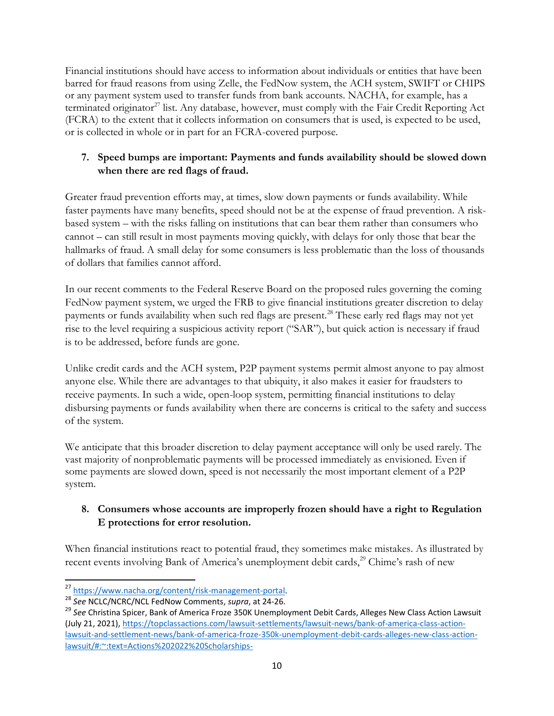Financial institutions should have access to information about individuals or entities that have been barred for fraud reasons from using Zelle, the FedNow system, the ACH system, SWIFT or CHIPS or any payment system used to transfer funds from bank accounts. NACHA, for example, has a terminated originator<sup>27</sup> list. Any database, however, must comply with the Fair Credit Reporting Act (FCRA) to the extent that it collects information on consumers that is used, is expected to be used, or is collected in whole or in part for an FCRA-covered purpose.

# **7. Speed bumps are important: Payments and funds availability should be slowed down when there are red flags of fraud.**

Greater fraud prevention efforts may, at times, slow down payments or funds availability. While faster payments have many benefits, speed should not be at the expense of fraud prevention. A riskbased system – with the risks falling on institutions that can bear them rather than consumers who cannot – can still result in most payments moving quickly, with delays for only those that bear the hallmarks of fraud. A small delay for some consumers is less problematic than the loss of thousands of dollars that families cannot afford.

In our recent comments to the Federal Reserve Board on the proposed rules governing the coming FedNow payment system, we urged the FRB to give financial institutions greater discretion to delay payments or funds availability when such red flags are present.<sup>28</sup> These early red flags may not yet rise to the level requiring a suspicious activity report ("SAR"), but quick action is necessary if fraud is to be addressed, before funds are gone.

Unlike credit cards and the ACH system, P2P payment systems permit almost anyone to pay almost anyone else. While there are advantages to that ubiquity, it also makes it easier for fraudsters to receive payments. In such a wide, open-loop system, permitting financial institutions to delay disbursing payments or funds availability when there are concerns is critical to the safety and success of the system.

We anticipate that this broader discretion to delay payment acceptance will only be used rarely. The vast majority of nonproblematic payments will be processed immediately as envisioned. Even if some payments are slowed down, speed is not necessarily the most important element of a P2P system.

## **8. Consumers whose accounts are improperly frozen should have a right to Regulation E protections for error resolution.**

When financial institutions react to potential fraud, they sometimes make mistakes. As illustrated by recent events involving Bank of America's unemployment debit cards,<sup>29</sup> Chime's rash of new

 $\overline{a}$ <sup>27</sup> [https://www.nacha.org/content/risk-management-portal.](https://www.nacha.org/content/risk-management-portal)

<sup>28</sup> *See* NCLC/NCRC/NCL FedNow Comments, *supra*, at 24-26.

<sup>29</sup> *See* Christina Spicer, Bank of America Froze 350K Unemployment Debit Cards, Alleges New Class Action Lawsuit (July 21, 2021)[, https://topclassactions.com/lawsuit-settlements/lawsuit-news/bank-of-america-class-action](https://topclassactions.com/lawsuit-settlements/lawsuit-news/bank-of-america-class-action-lawsuit-and-settlement-news/bank-of-america-froze-350k-unemployment-debit-cards-alleges-new-class-action-lawsuit/#:~:text=Actions%202022%20Scholarships-,Bank%20of%20America%20Froze%20350K%20Unemployment%20Debit,Alleges%20New%20Class%20Action%20Lawsuit&text=In%20their%20class%20action%20lawsuit,access%20to%20desperately%20needed%20funds)[lawsuit-and-settlement-news/bank-of-america-froze-350k-unemployment-debit-cards-alleges-new-class-action](https://topclassactions.com/lawsuit-settlements/lawsuit-news/bank-of-america-class-action-lawsuit-and-settlement-news/bank-of-america-froze-350k-unemployment-debit-cards-alleges-new-class-action-lawsuit/#:~:text=Actions%202022%20Scholarships-,Bank%20of%20America%20Froze%20350K%20Unemployment%20Debit,Alleges%20New%20Class%20Action%20Lawsuit&text=In%20their%20class%20action%20lawsuit,access%20to%20desperately%20needed%20funds)[lawsuit/#:~:text=Actions%202022%20Scholarships-](https://topclassactions.com/lawsuit-settlements/lawsuit-news/bank-of-america-class-action-lawsuit-and-settlement-news/bank-of-america-froze-350k-unemployment-debit-cards-alleges-new-class-action-lawsuit/#:~:text=Actions%202022%20Scholarships-,Bank%20of%20America%20Froze%20350K%20Unemployment%20Debit,Alleges%20New%20Class%20Action%20Lawsuit&text=In%20their%20class%20action%20lawsuit,access%20to%20desperately%20needed%20funds)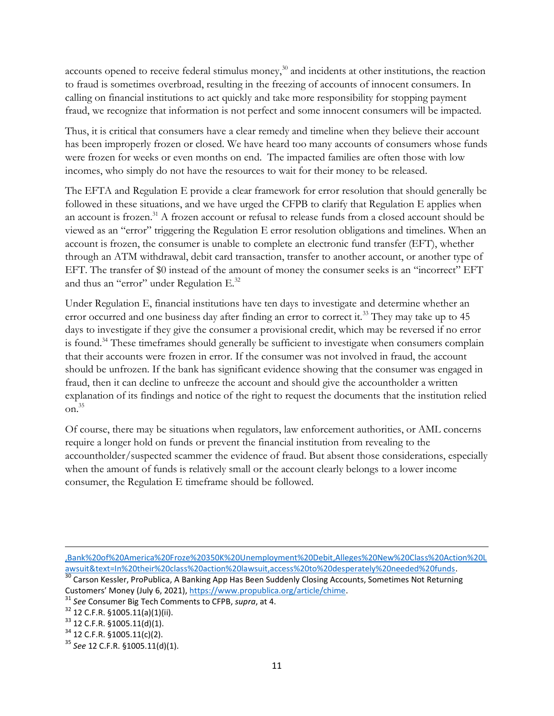accounts opened to receive federal stimulus money,<sup>30</sup> and incidents at other institutions, the reaction to fraud is sometimes overbroad, resulting in the freezing of accounts of innocent consumers. In calling on financial institutions to act quickly and take more responsibility for stopping payment fraud, we recognize that information is not perfect and some innocent consumers will be impacted.

Thus, it is critical that consumers have a clear remedy and timeline when they believe their account has been improperly frozen or closed. We have heard too many accounts of consumers whose funds were frozen for weeks or even months on end. The impacted families are often those with low incomes, who simply do not have the resources to wait for their money to be released.

The EFTA and Regulation E provide a clear framework for error resolution that should generally be followed in these situations, and we have urged the CFPB to clarify that Regulation E applies when an account is frozen.<sup>31</sup> A frozen account or refusal to release funds from a closed account should be viewed as an "error" triggering the Regulation E error resolution obligations and timelines. When an account is frozen, the consumer is unable to complete an electronic fund transfer (EFT), whether through an ATM withdrawal, debit card transaction, transfer to another account, or another type of EFT. The transfer of \$0 instead of the amount of money the consumer seeks is an "incorrect" EFT and thus an "error" under Regulation E.<sup>32</sup>

Under Regulation E, financial institutions have ten days to investigate and determine whether an error occurred and one business day after finding an error to correct it.<sup>33</sup> They may take up to 45 days to investigate if they give the consumer a provisional credit, which may be reversed if no error is found.<sup>34</sup> These timeframes should generally be sufficient to investigate when consumers complain that their accounts were frozen in error. If the consumer was not involved in fraud, the account should be unfrozen. If the bank has significant evidence showing that the consumer was engaged in fraud, then it can decline to unfreeze the account and should give the accountholder a written explanation of its findings and notice of the right to request the documents that the institution relied on. 35

Of course, there may be situations when regulators, law enforcement authorities, or AML concerns require a longer hold on funds or prevent the financial institution from revealing to the accountholder/suspected scammer the evidence of fraud. But absent those considerations, especially when the amount of funds is relatively small or the account clearly belongs to a lower income consumer, the Regulation E timeframe should be followed.

[<sup>,</sup>Bank%20of%20America%20Froze%20350K%20Unemployment%20Debit,Alleges%20New%20Class%20Action%20L](https://topclassactions.com/lawsuit-settlements/lawsuit-news/bank-of-america-class-action-lawsuit-and-settlement-news/bank-of-america-froze-350k-unemployment-debit-cards-alleges-new-class-action-lawsuit/#:~:text=Actions%202022%20Scholarships-,Bank%20of%20America%20Froze%20350K%20Unemployment%20Debit,Alleges%20New%20Class%20Action%20Lawsuit&text=In%20their%20class%20action%20lawsuit,access%20to%20desperately%20needed%20funds) [awsuit&text=In%20their%20class%20action%20lawsuit,access%20to%20desperately%20needed%20funds.](https://topclassactions.com/lawsuit-settlements/lawsuit-news/bank-of-america-class-action-lawsuit-and-settlement-news/bank-of-america-froze-350k-unemployment-debit-cards-alleges-new-class-action-lawsuit/#:~:text=Actions%202022%20Scholarships-,Bank%20of%20America%20Froze%20350K%20Unemployment%20Debit,Alleges%20New%20Class%20Action%20Lawsuit&text=In%20their%20class%20action%20lawsuit,access%20to%20desperately%20needed%20funds)

<sup>&</sup>lt;sup>2</sup> Carson Kessler, ProPublica, A Banking App Has Been Suddenly Closing Accounts, Sometimes Not Returning Customers' Money (July 6, 2021)[, https://www.propublica.org/article/chime.](https://www.propublica.org/article/chime) 

<sup>31</sup> *See* Consumer Big Tech Comments to CFPB, *supra*, at 4.

 $32$  12 C.F.R. §1005.11(a)(1)(ii).

 $33$  12 C.F.R. §1005.11(d)(1).

 $34$  12 C.F.R. §1005.11(c)(2).

<sup>35</sup> *See* 12 C.F.R. §1005.11(d)(1).